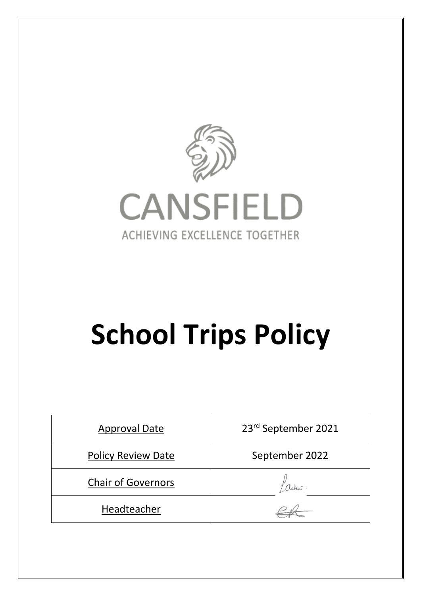

# **School Trips Policy**

| <b>Approval Date</b>      | 23rd September 2021 |  |  |
|---------------------------|---------------------|--|--|
| <b>Policy Review Date</b> | September 2022      |  |  |
| <b>Chair of Governors</b> |                     |  |  |
| Headteacher               |                     |  |  |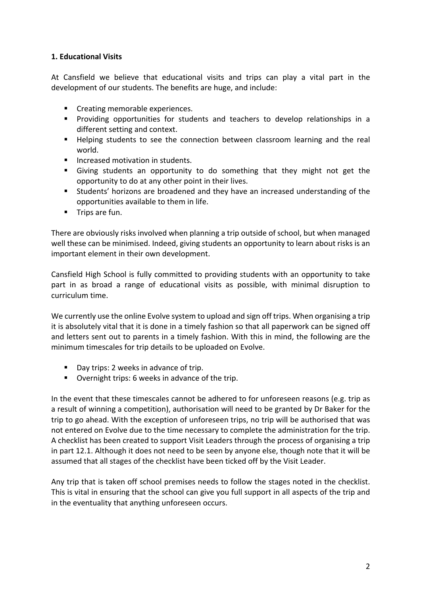#### **1. Educational Visits**

At Cansfield we believe that educational visits and trips can play a vital part in the development of our students. The benefits are huge, and include:

- Creating memorable experiences.
- § Providing opportunities for students and teachers to develop relationships in a different setting and context.
- Helping students to see the connection between classroom learning and the real world.
- Increased motivation in students.
- § Giving students an opportunity to do something that they might not get the opportunity to do at any other point in their lives.
- Students' horizons are broadened and they have an increased understanding of the opportunities available to them in life.
- Trips are fun.

There are obviously risks involved when planning a trip outside of school, but when managed well these can be minimised. Indeed, giving students an opportunity to learn about risks is an important element in their own development.

Cansfield High School is fully committed to providing students with an opportunity to take part in as broad a range of educational visits as possible, with minimal disruption to curriculum time.

We currently use the online Evolve system to upload and sign off trips. When organising a trip it is absolutely vital that it is done in a timely fashion so that all paperwork can be signed off and letters sent out to parents in a timely fashion. With this in mind, the following are the minimum timescales for trip details to be uploaded on Evolve.

- Day trips: 2 weeks in advance of trip.
- Overnight trips: 6 weeks in advance of the trip.

In the event that these timescales cannot be adhered to for unforeseen reasons (e.g. trip as a result of winning a competition), authorisation will need to be granted by Dr Baker for the trip to go ahead. With the exception of unforeseen trips, no trip will be authorised that was not entered on Evolve due to the time necessary to complete the administration for the trip. A checklist has been created to support Visit Leaders through the process of organising a trip in part 12.1. Although it does not need to be seen by anyone else, though note that it will be assumed that all stages of the checklist have been ticked off by the Visit Leader.

Any trip that is taken off school premises needs to follow the stages noted in the checklist. This is vital in ensuring that the school can give you full support in all aspects of the trip and in the eventuality that anything unforeseen occurs.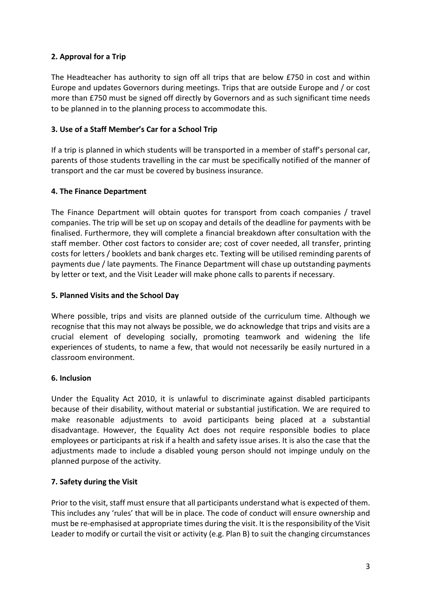# **2. Approval for a Trip**

The Headteacher has authority to sign off all trips that are below £750 in cost and within Europe and updates Governors during meetings. Trips that are outside Europe and / or cost more than £750 must be signed off directly by Governors and as such significant time needs to be planned in to the planning process to accommodate this.

#### **3. Use of a Staff Member's Car for a School Trip**

If a trip is planned in which students will be transported in a member of staff's personal car, parents of those students travelling in the car must be specifically notified of the manner of transport and the car must be covered by business insurance.

#### **4. The Finance Department**

The Finance Department will obtain quotes for transport from coach companies / travel companies. The trip will be set up on scopay and details of the deadline for payments with be finalised. Furthermore, they will complete a financial breakdown after consultation with the staff member. Other cost factors to consider are; cost of cover needed, all transfer, printing costs for letters / booklets and bank charges etc. Texting will be utilised reminding parents of payments due / late payments. The Finance Department will chase up outstanding payments by letter or text, and the Visit Leader will make phone calls to parents if necessary.

#### **5. Planned Visits and the School Day**

Where possible, trips and visits are planned outside of the curriculum time. Although we recognise that this may not always be possible, we do acknowledge that trips and visits are a crucial element of developing socially, promoting teamwork and widening the life experiences of students, to name a few, that would not necessarily be easily nurtured in a classroom environment.

#### **6. Inclusion**

Under the Equality Act 2010, it is unlawful to discriminate against disabled participants because of their disability, without material or substantial justification. We are required to make reasonable adjustments to avoid participants being placed at a substantial disadvantage. However, the Equality Act does not require responsible bodies to place employees or participants at risk if a health and safety issue arises. It is also the case that the adjustments made to include a disabled young person should not impinge unduly on the planned purpose of the activity.

# **7. Safety during the Visit**

Prior to the visit, staff must ensure that all participants understand what is expected of them. This includes any 'rules' that will be in place. The code of conduct will ensure ownership and must be re-emphasised at appropriate times during the visit. It is the responsibility of the Visit Leader to modify or curtail the visit or activity (e.g. Plan B) to suit the changing circumstances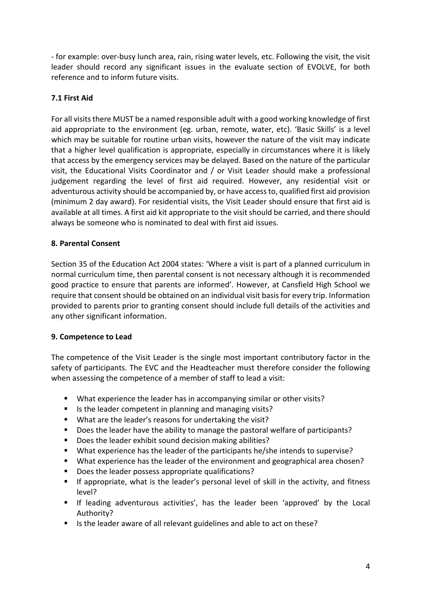- for example: over-busy lunch area, rain, rising water levels, etc. Following the visit, the visit leader should record any significant issues in the evaluate section of EVOLVE, for both reference and to inform future visits.

#### **7.1 First Aid**

For all visits there MUST be a named responsible adult with a good working knowledge of first aid appropriate to the environment (eg. urban, remote, water, etc). 'Basic Skills' is a level which may be suitable for routine urban visits, however the nature of the visit may indicate that a higher level qualification is appropriate, especially in circumstances where it is likely that access by the emergency services may be delayed. Based on the nature of the particular visit, the Educational Visits Coordinator and / or Visit Leader should make a professional judgement regarding the level of first aid required. However, any residential visit or adventurous activity should be accompanied by, or have access to, qualified first aid provision (minimum 2 day award). For residential visits, the Visit Leader should ensure that first aid is available at all times. A first aid kit appropriate to the visit should be carried, and there should always be someone who is nominated to deal with first aid issues.

#### **8. Parental Consent**

Section 35 of the Education Act 2004 states: 'Where a visit is part of a planned curriculum in normal curriculum time, then parental consent is not necessary although it is recommended good practice to ensure that parents are informed'. However, at Cansfield High School we require that consent should be obtained on an individual visit basisfor every trip. Information provided to parents prior to granting consent should include full details of the activities and any other significant information.

#### **9. Competence to Lead**

The competence of the Visit Leader is the single most important contributory factor in the safety of participants. The EVC and the Headteacher must therefore consider the following when assessing the competence of a member of staff to lead a visit:

- What experience the leader has in accompanying similar or other visits?
- Is the leader competent in planning and managing visits?
- What are the leader's reasons for undertaking the visit?
- Does the leader have the ability to manage the pastoral welfare of participants?
- Does the leader exhibit sound decision making abilities?
- § What experience has the leader of the participants he/she intends to supervise?
- § What experience has the leader of the environment and geographical area chosen?
- § Does the leader possess appropriate qualifications?
- If appropriate, what is the leader's personal level of skill in the activity, and fitness level?
- § If leading adventurous activities', has the leader been 'approved' by the Local Authority?
- Is the leader aware of all relevant guidelines and able to act on these?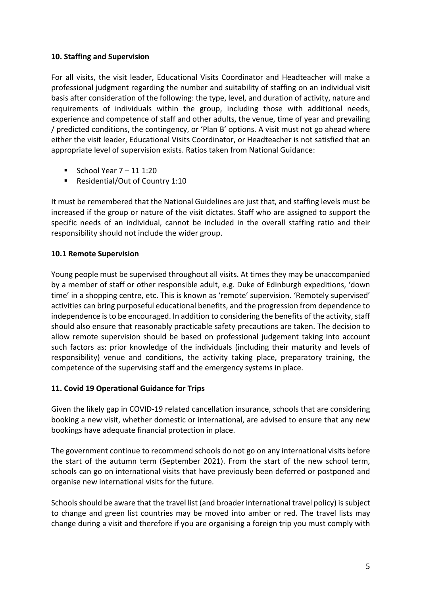# **10. Staffing and Supervision**

For all visits, the visit leader, Educational Visits Coordinator and Headteacher will make a professional judgment regarding the number and suitability of staffing on an individual visit basis after consideration of the following: the type, level, and duration of activity, nature and requirements of individuals within the group, including those with additional needs, experience and competence of staff and other adults, the venue, time of year and prevailing / predicted conditions, the contingency, or 'Plan B' options. A visit must not go ahead where either the visit leader, Educational Visits Coordinator, or Headteacher is not satisfied that an appropriate level of supervision exists. Ratios taken from National Guidance:

- School Year  $7 11$  1:20
- Residential/Out of Country 1:10

It must be remembered that the National Guidelines are just that, and staffing levels must be increased if the group or nature of the visit dictates. Staff who are assigned to support the specific needs of an individual, cannot be included in the overall staffing ratio and their responsibility should not include the wider group.

# **10.1 Remote Supervision**

Young people must be supervised throughout all visits. At times they may be unaccompanied by a member of staff or other responsible adult, e.g. Duke of Edinburgh expeditions, 'down time' in a shopping centre, etc. This is known as 'remote' supervision. 'Remotely supervised' activities can bring purposeful educational benefits, and the progression from dependence to independence is to be encouraged. In addition to considering the benefits of the activity, staff should also ensure that reasonably practicable safety precautions are taken. The decision to allow remote supervision should be based on professional judgement taking into account such factors as: prior knowledge of the individuals (including their maturity and levels of responsibility) venue and conditions, the activity taking place, preparatory training, the competence of the supervising staff and the emergency systems in place.

#### **11. Covid 19 Operational Guidance for Trips**

Given the likely gap in COVID-19 related cancellation insurance, schools that are considering booking a new visit, whether domestic or international, are advised to ensure that any new bookings have adequate financial protection in place.

The government continue to recommend schools do not go on any international visits before the start of the autumn term (September 2021). From the start of the new school term, schools can go on international visits that have previously been deferred or postponed and organise new international visits for the future.

Schoolsshould be aware that the travel list (and broader international travel policy) is subject to change and green list countries may be moved into amber or red. The travel lists may change during a visit and therefore if you are organising a foreign trip you must comply with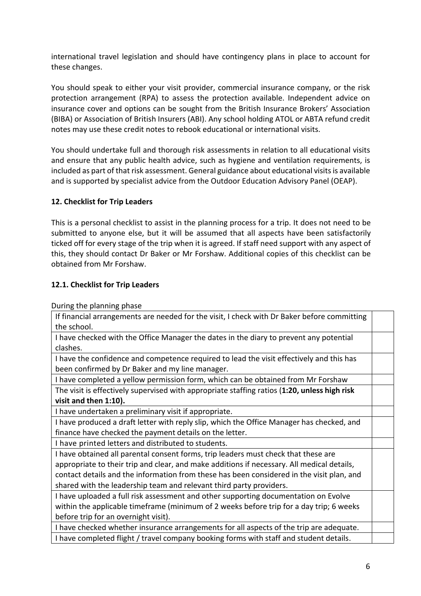international travel legislation and should have contingency plans in place to account for these changes.

You should speak to either your visit provider, commercial insurance company, or the risk protection arrangement (RPA) to assess the protection available. Independent advice on insurance cover and options can be sought from the British Insurance Brokers' Association (BIBA) or Association of British Insurers (ABI). Any school holding ATOL or ABTA refund credit notes may use these credit notes to rebook educational or international visits.

You should undertake full and thorough risk assessments in relation to all educational visits and ensure that any public health advice, such as hygiene and ventilation requirements, is included as part of that risk assessment. General guidance about educational visits is available and is supported by specialist advice from the Outdoor Education Advisory Panel (OEAP).

# **12. Checklist for Trip Leaders**

This is a personal checklist to assist in the planning process for a trip. It does not need to be submitted to anyone else, but it will be assumed that all aspects have been satisfactorily ticked off for every stage of the trip when it is agreed. If staff need support with any aspect of this, they should contact Dr Baker or Mr Forshaw. Additional copies of this checklist can be obtained from Mr Forshaw.

# **12.1. Checklist for Trip Leaders**

During the planning phase

| If financial arrangements are needed for the visit, I check with Dr Baker before committing  |  |  |
|----------------------------------------------------------------------------------------------|--|--|
| the school.                                                                                  |  |  |
| I have checked with the Office Manager the dates in the diary to prevent any potential       |  |  |
| clashes.                                                                                     |  |  |
| I have the confidence and competence required to lead the visit effectively and this has     |  |  |
| been confirmed by Dr Baker and my line manager.                                              |  |  |
| I have completed a yellow permission form, which can be obtained from Mr Forshaw             |  |  |
| The visit is effectively supervised with appropriate staffing ratios (1:20, unless high risk |  |  |
| visit and then 1:10).                                                                        |  |  |
| I have undertaken a preliminary visit if appropriate.                                        |  |  |
| I have produced a draft letter with reply slip, which the Office Manager has checked, and    |  |  |
| finance have checked the payment details on the letter.                                      |  |  |
| I have printed letters and distributed to students.                                          |  |  |
| I have obtained all parental consent forms, trip leaders must check that these are           |  |  |
| appropriate to their trip and clear, and make additions if necessary. All medical details,   |  |  |
| contact details and the information from these has been considered in the visit plan, and    |  |  |
| shared with the leadership team and relevant third party providers.                          |  |  |
| I have uploaded a full risk assessment and other supporting documentation on Evolve          |  |  |
| within the applicable timeframe (minimum of 2 weeks before trip for a day trip; 6 weeks      |  |  |
| before trip for an overnight visit).                                                         |  |  |
| I have checked whether insurance arrangements for all aspects of the trip are adequate.      |  |  |
| I have completed flight / travel company booking forms with staff and student details.       |  |  |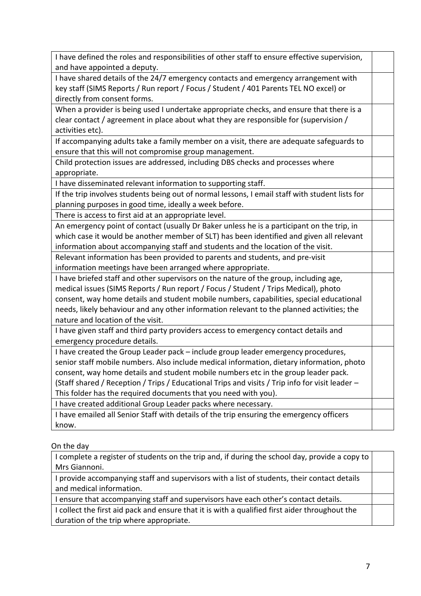| I have defined the roles and responsibilities of other staff to ensure effective supervision,   |  |
|-------------------------------------------------------------------------------------------------|--|
| and have appointed a deputy.                                                                    |  |
| I have shared details of the 24/7 emergency contacts and emergency arrangement with             |  |
| key staff (SIMS Reports / Run report / Focus / Student / 401 Parents TEL NO excel) or           |  |
| directly from consent forms.                                                                    |  |
| When a provider is being used I undertake appropriate checks, and ensure that there is a        |  |
| clear contact / agreement in place about what they are responsible for (supervision /           |  |
| activities etc).                                                                                |  |
| If accompanying adults take a family member on a visit, there are adequate safeguards to        |  |
| ensure that this will not compromise group management.                                          |  |
| Child protection issues are addressed, including DBS checks and processes where                 |  |
| appropriate.                                                                                    |  |
| I have disseminated relevant information to supporting staff.                                   |  |
| If the trip involves students being out of normal lessons, I email staff with student lists for |  |
| planning purposes in good time, ideally a week before.                                          |  |
| There is access to first aid at an appropriate level.                                           |  |
| An emergency point of contact (usually Dr Baker unless he is a participant on the trip, in      |  |
| which case it would be another member of SLT) has been identified and given all relevant        |  |
| information about accompanying staff and students and the location of the visit.                |  |
| Relevant information has been provided to parents and students, and pre-visit                   |  |
| information meetings have been arranged where appropriate.                                      |  |
| I have briefed staff and other supervisors on the nature of the group, including age,           |  |
| medical issues (SIMS Reports / Run report / Focus / Student / Trips Medical), photo             |  |
| consent, way home details and student mobile numbers, capabilities, special educational         |  |
| needs, likely behaviour and any other information relevant to the planned activities; the       |  |
| nature and location of the visit.                                                               |  |
| I have given staff and third party providers access to emergency contact details and            |  |
| emergency procedure details.                                                                    |  |
| I have created the Group Leader pack - include group leader emergency procedures,               |  |
| senior staff mobile numbers. Also include medical information, dietary information, photo       |  |
| consent, way home details and student mobile numbers etc in the group leader pack.              |  |
| (Staff shared / Reception / Trips / Educational Trips and visits / Trip info for visit leader - |  |
| This folder has the required documents that you need with you).                                 |  |
| I have created additional Group Leader packs where necessary.                                   |  |
| I have emailed all Senior Staff with details of the trip ensuring the emergency officers        |  |
| know.                                                                                           |  |
|                                                                                                 |  |

# On the day

| I complete a register of students on the trip and, if during the school day, provide a copy to |  |
|------------------------------------------------------------------------------------------------|--|
| Mrs Giannoni.                                                                                  |  |
| I provide accompanying staff and supervisors with a list of students, their contact details    |  |
| and medical information.                                                                       |  |
| I ensure that accompanying staff and supervisors have each other's contact details.            |  |
| I collect the first aid pack and ensure that it is with a qualified first aider throughout the |  |
| duration of the trip where appropriate.                                                        |  |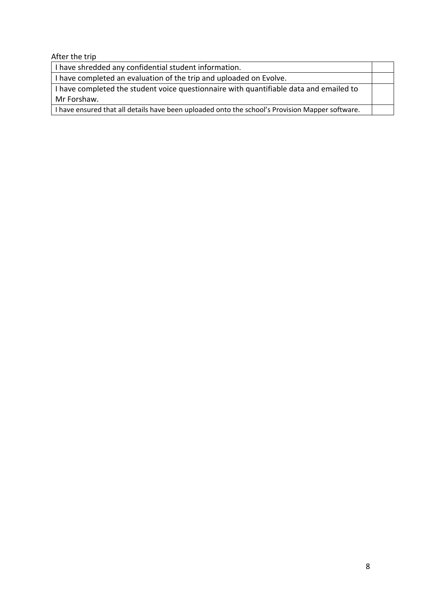After the trip

| I have shredded any confidential student information.                                           |  |
|-------------------------------------------------------------------------------------------------|--|
| I have completed an evaluation of the trip and uploaded on Evolve.                              |  |
| I have completed the student voice questionnaire with quantifiable data and emailed to          |  |
| Mr Forshaw.                                                                                     |  |
| I have ensured that all details have been uploaded onto the school's Provision Mapper software. |  |
|                                                                                                 |  |